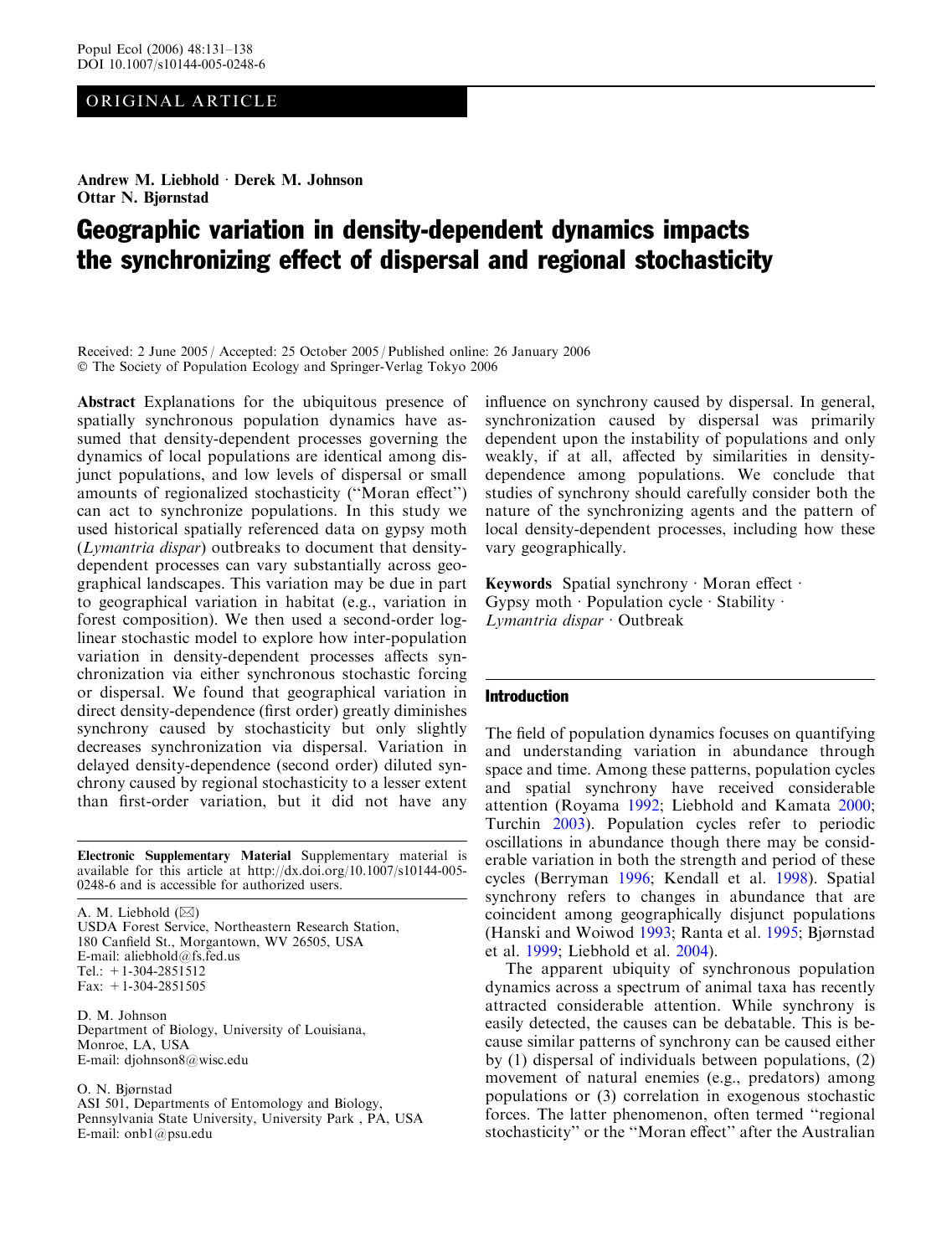# ORIGINAL ARTICLE

Andrew M. Liebhold · Derek M. Johnson Ottar N. Bjørnstad

# Geographic variation in density-dependent dynamics impacts the synchronizing effect of dispersal and regional stochasticity

Received: 2 June 2005 / Accepted: 25 October 2005 / Published online: 26 January 2006 The Society of Population Ecology and Springer-Verlag Tokyo 2006

Abstract Explanations for the ubiquitous presence of spatially synchronous population dynamics have assumed that density-dependent processes governing the dynamics of local populations are identical among disjunct populations, and low levels of dispersal or small amounts of regionalized stochasticity (''Moran effect'') can act to synchronize populations. In this study we used historical spatially referenced data on gypsy moth (Lymantria dispar) outbreaks to document that densitydependent processes can vary substantially across geographical landscapes. This variation may be due in part to geographical variation in habitat (e.g., variation in forest composition). We then used a second-order loglinear stochastic model to explore how inter-population variation in density-dependent processes affects synchronization via either synchronous stochastic forcing or dispersal. We found that geographical variation in direct density-dependence (first order) greatly diminishes synchrony caused by stochasticity but only slightly decreases synchronization via dispersal. Variation in delayed density-dependence (second order) diluted synchrony caused by regional stochasticity to a lesser extent than first-order variation, but it did not have any

Electronic Supplementary Material Supplementary material is available for this article at http://dx.doi.org/10.1007/s10144-005- 0248-6 and is accessible for authorized users.

A. M. Liebhold  $(\boxtimes)$ USDA Forest Service, Northeastern Research Station, 180 Canfield St., Morgantown, WV 26505, USA E-mail: aliebhold@fs.fed.us Tel.: +1-304-2851512 Fax: +1-304-2851505

D. M. Johnson Department of Biology, University of Louisiana, Monroe, LA, USA E-mail: djohnson8@wisc.edu

O. N. Bjørnstad

ASI 501, Departments of Entomology and Biology, Pennsylvania State University, University Park , PA, USA E-mail: onb1@psu.edu

influence on synchrony caused by dispersal. In general, synchronization caused by dispersal was primarily dependent upon the instability of populations and only weakly, if at all, affected by similarities in densitydependence among populations. We conclude that studies of synchrony should carefully consider both the nature of the synchronizing agents and the pattern of local density-dependent processes, including how these vary geographically.

Keywords Spatial synchrony  $\cdot$  Moran effect  $\cdot$ Gypsy moth · Population cycle · Stability  $\cdot$  $Lymantria$  dispar  $\cdot$  Outbreak

#### Introduction

The field of population dynamics focuses on quantifying and understanding variation in abundance through space and time. Among these patterns, population cycles and spatial synchrony have received considerable attention (Royama [1992](#page-7-0); Liebhold and Kamata [2000](#page-7-0); Turchin [2003\)](#page-7-0). Population cycles refer to periodic oscillations in abundance though there may be considerable variation in both the strength and period of these cycles (Berryman [1996](#page-6-0); Kendall et al. [1998](#page-6-0)). Spatial synchrony refers to changes in abundance that are coincident among geographically disjunct populations (Hanski and Woiwod [1993;](#page-6-0) Ranta et al. [1995](#page-7-0); Bjørnstad et al. [1999;](#page-6-0) Liebhold et al. [2004\)](#page-7-0).

The apparent ubiquity of synchronous population dynamics across a spectrum of animal taxa has recently attracted considerable attention. While synchrony is easily detected, the causes can be debatable. This is because similar patterns of synchrony can be caused either by (1) dispersal of individuals between populations, (2) movement of natural enemies (e.g., predators) among populations or (3) correlation in exogenous stochastic forces. The latter phenomenon, often termed ''regional stochasticity'' or the ''Moran effect'' after the Australian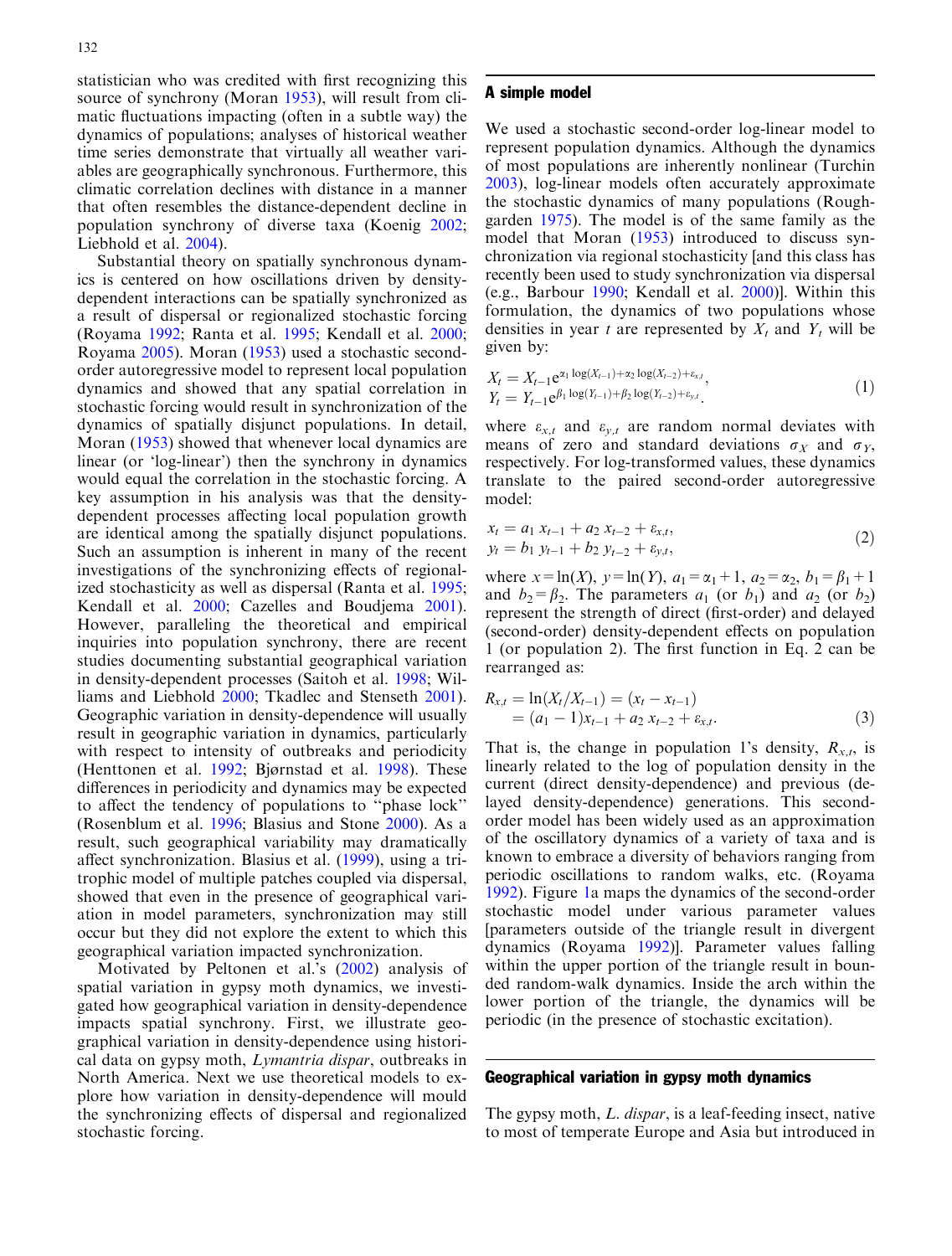statistician who was credited with first recognizing this source of synchrony (Moran [1953\)](#page-7-0), will result from climatic fluctuations impacting (often in a subtle way) the dynamics of populations; analyses of historical weather time series demonstrate that virtually all weather variables are geographically synchronous. Furthermore, this climatic correlation declines with distance in a manner that often resembles the distance-dependent decline in population synchrony of diverse taxa (Koenig [2002](#page-7-0); Liebhold et al. [2004](#page-7-0)).

Substantial theory on spatially synchronous dynamics is centered on how oscillations driven by densitydependent interactions can be spatially synchronized as a result of dispersal or regionalized stochastic forcing (Royama [1992;](#page-7-0) Ranta et al. [1995](#page-7-0); Kendall et al. [2000](#page-6-0); Royama [2005\)](#page-7-0). Moran [\(1953](#page-7-0)) used a stochastic secondorder autoregressive model to represent local population dynamics and showed that any spatial correlation in stochastic forcing would result in synchronization of the dynamics of spatially disjunct populations. In detail, Moran ([1953](#page-7-0)) showed that whenever local dynamics are linear (or 'log-linear') then the synchrony in dynamics would equal the correlation in the stochastic forcing. A key assumption in his analysis was that the densitydependent processes affecting local population growth are identical among the spatially disjunct populations. Such an assumption is inherent in many of the recent investigations of the synchronizing effects of regionalized stochasticity as well as dispersal (Ranta et al. [1995](#page-7-0); Kendall et al. [2000](#page-6-0); Cazelles and Boudjema [2001\)](#page-6-0). However, paralleling the theoretical and empirical inquiries into population synchrony, there are recent studies documenting substantial geographical variation in density-dependent processes (Saitoh et al. [1998;](#page-7-0) Williams and Liebhold [2000](#page-7-0); Tkadlec and Stenseth [2001\)](#page-7-0). Geographic variation in density-dependence will usually result in geographic variation in dynamics, particularly with respect to intensity of outbreaks and periodicity (Henttonen et al. [1992;](#page-6-0) Bjørnstad et al. [1998\)](#page-6-0). These differences in periodicity and dynamics may be expected to affect the tendency of populations to ''phase lock'' (Rosenblum et al. [1996](#page-7-0); Blasius and Stone [2000](#page-6-0)). As a result, such geographical variability may dramatically affect synchronization. Blasius et al. ([1999\)](#page-6-0), using a tritrophic model of multiple patches coupled via dispersal, showed that even in the presence of geographical variation in model parameters, synchronization may still occur but they did not explore the extent to which this geographical variation impacted synchronization.

Motivated by Peltonen et al.'s [\(2002\)](#page-7-0) analysis of spatial variation in gypsy moth dynamics, we investigated how geographical variation in density-dependence impacts spatial synchrony. First, we illustrate geographical variation in density-dependence using historical data on gypsy moth, Lymantria dispar, outbreaks in North America. Next we use theoretical models to explore how variation in density-dependence will mould the synchronizing effects of dispersal and regionalized stochastic forcing.

#### A simple model

We used a stochastic second-order log-linear model to represent population dynamics. Although the dynamics of most populations are inherently nonlinear (Turchin [2003\)](#page-7-0), log-linear models often accurately approximate the stochastic dynamics of many populations (Roughgarden [1975\)](#page-7-0). The model is of the same family as the model that Moran ([1953\)](#page-7-0) introduced to discuss synchronization via regional stochasticity [and this class has recently been used to study synchronization via dispersal (e.g., Barbour [1990;](#page-6-0) Kendall et al. [2000\)](#page-6-0)]. Within this formulation, the dynamics of two populations whose densities in year t are represented by  $X_t$  and  $Y_t$  will be given by:

$$
X_t = X_{t-1} e^{\alpha_1 \log(X_{t-1}) + \alpha_2 \log(X_{t-2}) + \varepsilon_{x,t}},
$$
  
\n
$$
Y_t = Y_{t-1} e^{\beta_1 \log(Y_{t-1}) + \beta_2 \log(Y_{t-2}) + \varepsilon_{y,t}}.
$$
\n(1)

where  $\varepsilon_{x,t}$  and  $\varepsilon_{y,t}$  are random normal deviates with means of zero and standard deviations  $\sigma_X$  and  $\sigma_Y$ , respectively. For log-transformed values, these dynamics translate to the paired second-order autoregressive model:

$$
x_t = a_1 x_{t-1} + a_2 x_{t-2} + \varepsilon_{x,t},
$$
  
\n
$$
y_t = b_1 y_{t-1} + b_2 y_{t-2} + \varepsilon_{y,t},
$$
\n(2)

where  $x = \ln(X)$ ,  $y = \ln(Y)$ ,  $a_1 = \alpha_1 + 1$ ,  $a_2 = \alpha_2$ ,  $b_1 = \beta_1 + 1$ and  $b_2 = \beta_2$ . The parameters  $a_1$  (or  $b_1$ ) and  $a_2$  (or  $b_2$ ) represent the strength of direct (first-order) and delayed (second-order) density-dependent effects on population 1 (or population 2). The first function in Eq. 2 can be rearranged as:

$$
R_{x,t} = \ln(X_t/X_{t-1}) = (x_t - x_{t-1})
$$
  
=  $(a_1 - 1)x_{t-1} + a_2 x_{t-2} + \varepsilon_{x,t}.$  (3)

That is, the change in population 1's density,  $R_{x,t}$ , is linearly related to the log of population density in the current (direct density-dependence) and previous (delayed density-dependence) generations. This secondorder model has been widely used as an approximation of the oscillatory dynamics of a variety of taxa and is known to embrace a diversity of behaviors ranging from periodic oscillations to random walks, etc. (Royama [1992\)](#page-7-0). Figure [1](#page-2-0)a maps the dynamics of the second-order stochastic model under various parameter values [parameters outside of the triangle result in divergent dynamics (Royama [1992\)](#page-7-0)]. Parameter values falling within the upper portion of the triangle result in bounded random-walk dynamics. Inside the arch within the lower portion of the triangle, the dynamics will be periodic (in the presence of stochastic excitation).

## Geographical variation in gypsy moth dynamics

The gypsy moth, *L. dispar*, is a leaf-feeding insect, native to most of temperate Europe and Asia but introduced in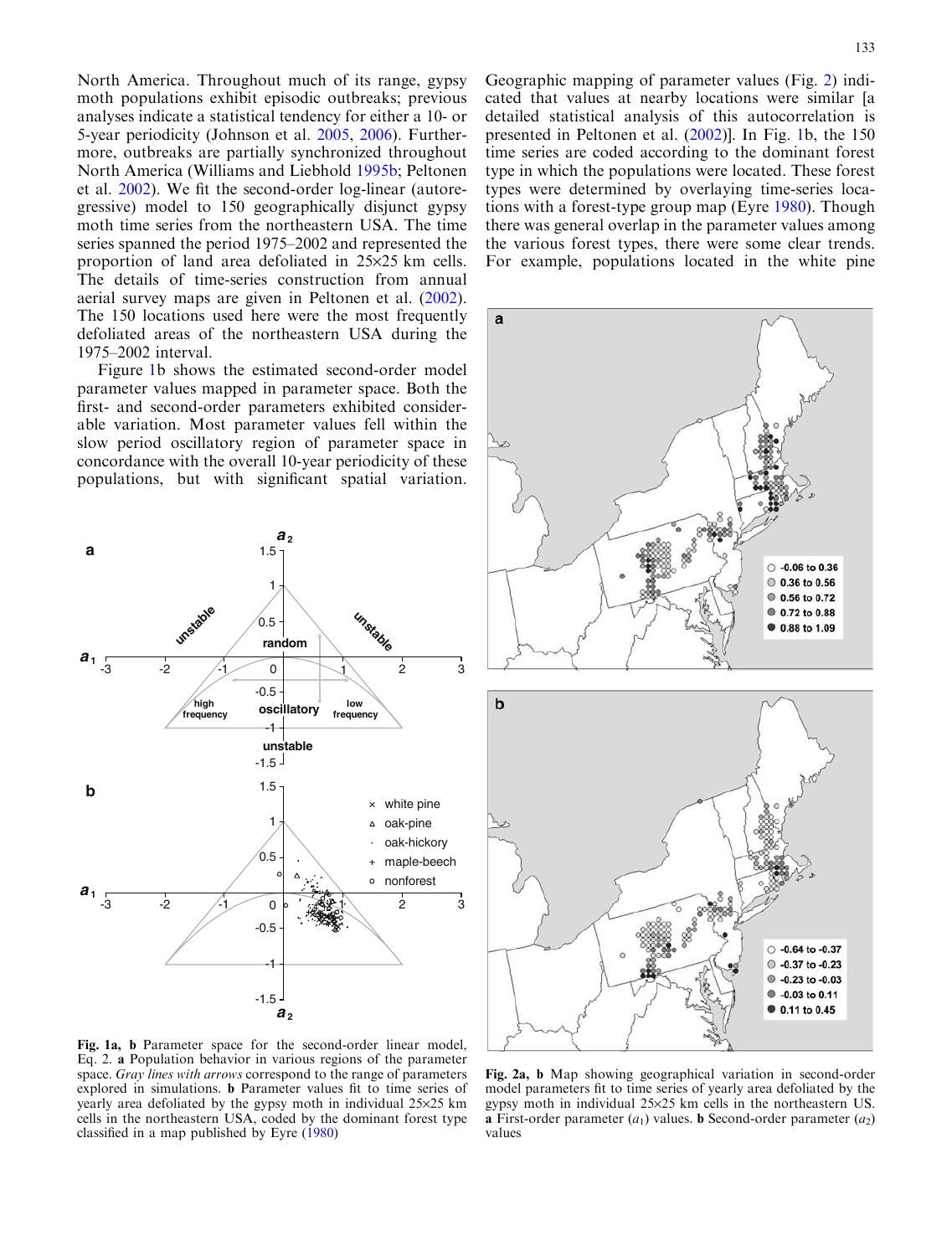<span id="page-2-0"></span>North America. Throughout much of its range, gypsy moth populations exhibit episodic outbreaks; previous analyses indicate a statistical tendency for either a 10- or 5-year periodicity (Johnson et al. [2005](#page-6-0), [2006](#page-6-0)). Furthermore, outbreaks are partially synchronized throughout North America (Williams and Liebhold [1995b;](#page-7-0) Peltonen et al. [2002](#page-7-0)). We fit the second-order log-linear (autoregressive) model to 150 geographically disjunct gypsy moth time series from the northeastern USA. The time series spanned the period 1975–2002 and represented the proportion of land area defoliated in  $25\times25$  km cells. The details of time-series construction from annual aerial survey maps are given in Peltonen et al. ([2002\)](#page-7-0). The 150 locations used here were the most frequently defoliated areas of the northeastern USA during the 1975–2002 interval.

Figure 1b shows the estimated second-order model parameter values mapped in parameter space. Both the first- and second-order parameters exhibited considerable variation. Most parameter values fell within the slow period oscillatory region of parameter space in concordance with the overall 10-year periodicity of these populations, but with significant spatial variation.



Geographic mapping of parameter values (Fig. 2) indicated that values at nearby locations were similar [a detailed statistical analysis of this autocorrelation is presented in Peltonen et al. ([2002](#page-7-0))]. In Fig. 1b, the 150 time series are coded according to the dominant forest type in which the populations were located. These forest types were determined by overlaying time-series locations with a forest-type group map (Eyre [1980\)](#page-6-0). Though there was general overlap in the parameter values among the various forest types, there were some clear trends. For example, populations located in the white pine



Fig. 1a, b Parameter space for the second-order linear model, Eq. 2. a Population behavior in various regions of the parameter space. Gray lines with arrows correspond to the range of parameters explored in simulations. b Parameter values fit to time series of yearly area defoliated by the gypsy moth in individual  $25\times25$  km cells in the northeastern USA, coded by the dominant forest type classified in a map published by Eyre ([1980\)](#page-6-0)

Fig. 2a, b Map showing geographical variation in second-order model parameters fit to time series of yearly area defoliated by the gypsy moth in individual 25·25 km cells in the northeastern US. **a** First-order parameter  $(a_1)$  values. **b** Second-order parameter  $(a_2)$ values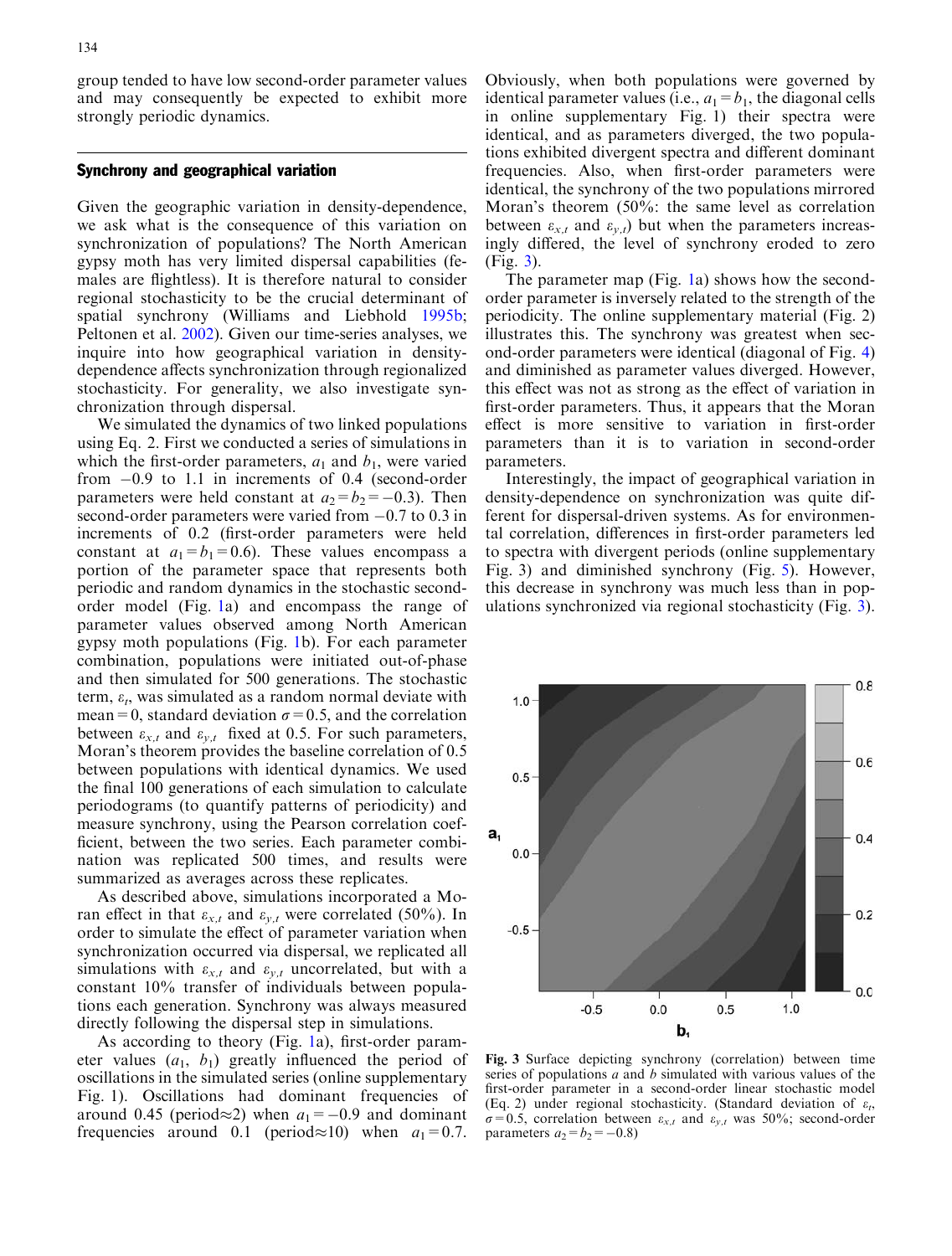<span id="page-3-0"></span>group tended to have low second-order parameter values and may consequently be expected to exhibit more strongly periodic dynamics.

## Synchrony and geographical variation

Given the geographic variation in density-dependence, we ask what is the consequence of this variation on synchronization of populations? The North American gypsy moth has very limited dispersal capabilities (females are flightless). It is therefore natural to consider regional stochasticity to be the crucial determinant of spatial synchrony (Williams and Liebhold [1995b](#page-7-0); Peltonen et al. [2002\)](#page-7-0). Given our time-series analyses, we inquire into how geographical variation in densitydependence affects synchronization through regionalized stochasticity. For generality, we also investigate synchronization through dispersal.

We simulated the dynamics of two linked populations using Eq. 2. First we conducted a series of simulations in which the first-order parameters,  $a_1$  and  $b_1$ , were varied from  $-0.9$  to 1.1 in increments of 0.4 (second-order parameters were held constant at  $a_2 = b_2 = -0.3$ ). Then second-order parameters were varied from  $-0.7$  to 0.3 in increments of 0.2 (first-order parameters were held constant at  $a_1 = b_1 = 0.6$ . These values encompass a portion of the parameter space that represents both periodic and random dynamics in the stochastic secondorder model (Fig. [1a](#page-2-0)) and encompass the range of parameter values observed among North American gypsy moth populations (Fig. [1](#page-2-0)b). For each parameter combination, populations were initiated out-of-phase and then simulated for 500 generations. The stochastic term,  $\varepsilon_t$ , was simulated as a random normal deviate with mean=0, standard deviation  $\sigma$ =0.5, and the correlation between  $\varepsilon_{x,t}$  and  $\varepsilon_{y,t}$  fixed at 0.5. For such parameters, Moran's theorem provides the baseline correlation of 0.5 between populations with identical dynamics. We used the final 100 generations of each simulation to calculate periodograms (to quantify patterns of periodicity) and measure synchrony, using the Pearson correlation coefficient, between the two series. Each parameter combination was replicated 500 times, and results were summarized as averages across these replicates.

As described above, simulations incorporated a Moran effect in that  $\varepsilon_{x,t}$  and  $\varepsilon_{v,t}$  were correlated (50%). In order to simulate the effect of parameter variation when synchronization occurred via dispersal, we replicated all simulations with  $\varepsilon_{x,t}$  and  $\varepsilon_{y,t}$  uncorrelated, but with a constant 10% transfer of individuals between populations each generation. Synchrony was always measured directly following the dispersal step in simulations.

As according to theory (Fig. [1a](#page-2-0)), first-order parameter values  $(a_1, b_1)$  greatly influenced the period of oscillations in the simulated series (online supplementary Fig. 1). Oscillations had dominant frequencies of around 0.45 (period $\approx$ 2) when  $a_1 = -0.9$  and dominant frequencies around 0.1 (period $\approx$ 10) when  $a_1 = 0.7$ .

Obviously, when both populations were governed by identical parameter values (i.e.,  $a_1 = b_1$ , the diagonal cells in online supplementary Fig. 1) their spectra were identical, and as parameters diverged, the two populations exhibited divergent spectra and different dominant frequencies. Also, when first-order parameters were identical, the synchrony of the two populations mirrored Moran's theorem (50%: the same level as correlation between  $\varepsilon_{x,t}$  and  $\varepsilon_{y,t}$ ) but when the parameters increasingly differed, the level of synchrony eroded to zero (Fig. 3).

The parameter map (Fig. [1a](#page-2-0)) shows how the secondorder parameter is inversely related to the strength of the periodicity. The online supplementary material (Fig. 2) illustrates this. The synchrony was greatest when second-order parameters were identical (diagonal of Fig. [4\)](#page-4-0) and diminished as parameter values diverged. However, this effect was not as strong as the effect of variation in first-order parameters. Thus, it appears that the Moran effect is more sensitive to variation in first-order parameters than it is to variation in second-order parameters.

Interestingly, the impact of geographical variation in density-dependence on synchronization was quite different for dispersal-driven systems. As for environmental correlation, differences in first-order parameters led to spectra with divergent periods (online supplementary Fig. 3) and diminished synchrony (Fig. [5](#page-4-0)). However, this decrease in synchrony was much less than in populations synchronized via regional stochasticity (Fig. 3).



Fig. 3 Surface depicting synchrony (correlation) between time series of populations  $a$  and  $b$  simulated with various values of the first-order parameter in a second-order linear stochastic model (Eq. 2) under regional stochasticity. (Standard deviation of  $\varepsilon_t$ ,  $\sigma=0.5$ , correlation between  $\varepsilon_{x,t}$  and  $\varepsilon_{y,t}$  was 50%; second-order parameters  $a_2 = b_2 = -0.8$ )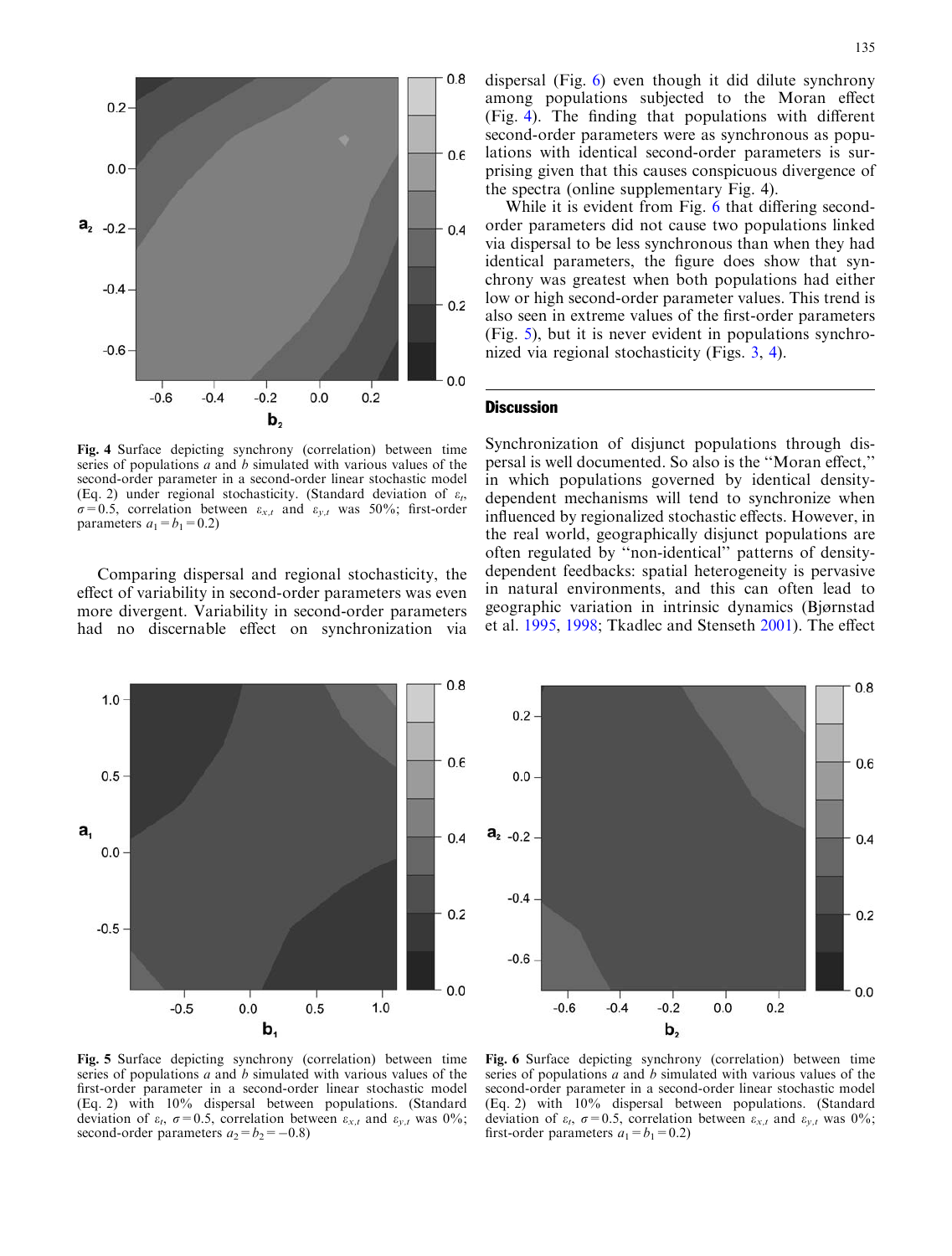<span id="page-4-0"></span>

Fig. 4 Surface depicting synchrony (correlation) between time series of populations a and b simulated with various values of the second-order parameter in a second-order linear stochastic model (Eq. 2) under regional stochasticity. (Standard deviation of  $\varepsilon_t$ ,  $\sigma$ =0.5, correlation between  $\varepsilon_{x,t}$  and  $\varepsilon_{y,t}$  was 50%; first-order parameters  $a_1 = b_1 = 0.2$ )

Comparing dispersal and regional stochasticity, the effect of variability in second-order parameters was even more divergent. Variability in second-order parameters had no discernable effect on synchronization via dispersal (Fig. 6) even though it did dilute synchrony among populations subjected to the Moran effect (Fig. 4). The finding that populations with different second-order parameters were as synchronous as populations with identical second-order parameters is surprising given that this causes conspicuous divergence of the spectra (online supplementary Fig. 4).

While it is evident from Fig. 6 that differing secondorder parameters did not cause two populations linked via dispersal to be less synchronous than when they had identical parameters, the figure does show that synchrony was greatest when both populations had either low or high second-order parameter values. This trend is also seen in extreme values of the first-order parameters (Fig. 5), but it is never evident in populations synchronized via regional stochasticity (Figs. [3,](#page-3-0) 4).

#### **Discussion**

Synchronization of disjunct populations through dispersal is well documented. So also is the ''Moran effect,'' in which populations governed by identical densitydependent mechanisms will tend to synchronize when influenced by regionalized stochastic effects. However, in the real world, geographically disjunct populations are often regulated by ''non-identical'' patterns of densitydependent feedbacks: spatial heterogeneity is pervasive in natural environments, and this can often lead to geographic variation in intrinsic dynamics (Bjørnstad et al. [1995,](#page-6-0) [1998;](#page-6-0) Tkadlec and Stenseth [2001\)](#page-7-0). The effect





Fig. 5 Surface depicting synchrony (correlation) between time series of populations  $a$  and  $b$  simulated with various values of the first-order parameter in a second-order linear stochastic model (Eq. 2) with 10% dispersal between populations. (Standard deviation of  $\varepsilon_t$ ,  $\sigma$ =0.5, correlation between  $\varepsilon_{x,t}$  and  $\varepsilon_{y,t}$  was 0%; second-order parameters  $a_2 = b_2 = -0.8$ )

Fig. 6 Surface depicting synchrony (correlation) between time series of populations  $a$  and  $b$  simulated with various values of the second-order parameter in a second-order linear stochastic model (Eq. 2) with 10% dispersal between populations. (Standard deviation of  $\varepsilon_t$ ,  $\sigma=0.5$ , correlation between  $\varepsilon_{x,t}$  and  $\varepsilon_{y,t}$  was 0%; first-order parameters  $a_1 = b_1 = 0.2$ )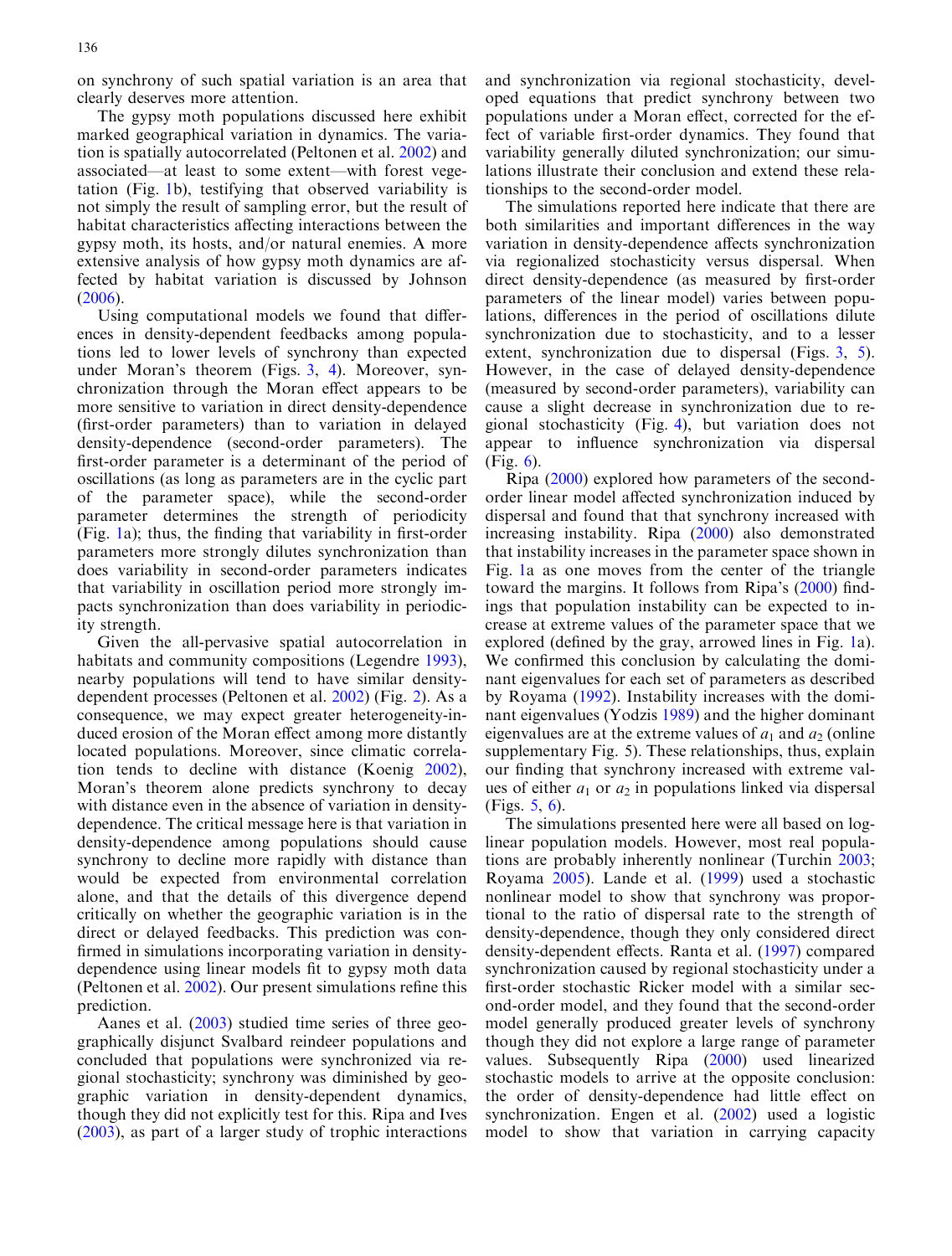on synchrony of such spatial variation is an area that clearly deserves more attention.

The gypsy moth populations discussed here exhibit marked geographical variation in dynamics. The variation is spatially autocorrelated (Peltonen et al. [2002\)](#page-7-0) and associated—at least to some extent—with forest vegetation (Fig. [1](#page-2-0)b), testifying that observed variability is not simply the result of sampling error, but the result of habitat characteristics affecting interactions between the gypsy moth, its hosts, and/or natural enemies. A more extensive analysis of how gypsy moth dynamics are affected by habitat variation is discussed by Johnson ([2006\)](#page-6-0).

Using computational models we found that differences in density-dependent feedbacks among populations led to lower levels of synchrony than expected under Moran's theorem (Figs. [3,](#page-3-0) [4](#page-4-0)). Moreover, synchronization through the Moran effect appears to be more sensitive to variation in direct density-dependence (first-order parameters) than to variation in delayed density-dependence (second-order parameters). The first-order parameter is a determinant of the period of oscillations (as long as parameters are in the cyclic part of the parameter space), while the second-order parameter determines the strength of periodicity (Fig. [1](#page-2-0)a); thus, the finding that variability in first-order parameters more strongly dilutes synchronization than does variability in second-order parameters indicates that variability in oscillation period more strongly impacts synchronization than does variability in periodicity strength.

Given the all-pervasive spatial autocorrelation in habitats and community compositions (Legendre [1993\)](#page-7-0), nearby populations will tend to have similar densitydependent processes (Peltonen et al. [2002\)](#page-7-0) (Fig. [2](#page-2-0)). As a consequence, we may expect greater heterogeneity-induced erosion of the Moran effect among more distantly located populations. Moreover, since climatic correlation tends to decline with distance (Koenig [2002\)](#page-7-0), Moran's theorem alone predicts synchrony to decay with distance even in the absence of variation in densitydependence. The critical message here is that variation in density-dependence among populations should cause synchrony to decline more rapidly with distance than would be expected from environmental correlation alone, and that the details of this divergence depend critically on whether the geographic variation is in the direct or delayed feedbacks. This prediction was confirmed in simulations incorporating variation in densitydependence using linear models fit to gypsy moth data (Peltonen et al. [2002\)](#page-7-0). Our present simulations refine this prediction.

Aanes et al. ([2003\)](#page-6-0) studied time series of three geographically disjunct Svalbard reindeer populations and concluded that populations were synchronized via regional stochasticity; synchrony was diminished by geographic variation in density-dependent dynamics, though they did not explicitly test for this. Ripa and Ives ([2003\)](#page-7-0), as part of a larger study of trophic interactions and synchronization via regional stochasticity, developed equations that predict synchrony between two populations under a Moran effect, corrected for the effect of variable first-order dynamics. They found that variability generally diluted synchronization; our simulations illustrate their conclusion and extend these relationships to the second-order model.

The simulations reported here indicate that there are both similarities and important differences in the way variation in density-dependence affects synchronization via regionalized stochasticity versus dispersal. When direct density-dependence (as measured by first-order parameters of the linear model) varies between populations, differences in the period of oscillations dilute synchronization due to stochasticity, and to a lesser extent, synchronization due to dispersal (Figs. [3](#page-3-0), [5\)](#page-4-0). However, in the case of delayed density-dependence (measured by second-order parameters), variability can cause a slight decrease in synchronization due to regional stochasticity (Fig. [4](#page-4-0)), but variation does not appear to influence synchronization via dispersal (Fig. [6\)](#page-4-0).

Ripa [\(2000](#page-7-0)) explored how parameters of the secondorder linear model affected synchronization induced by dispersal and found that that synchrony increased with increasing instability. Ripa ([2000](#page-7-0)) also demonstrated that instability increases in the parameter space shown in Fig. [1](#page-2-0)a as one moves from the center of the triangle toward the margins. It follows from Ripa's ([2000](#page-7-0)) findings that population instability can be expected to increase at extreme values of the parameter space that we explored (defined by the gray, arrowed lines in Fig. [1a](#page-2-0)). We confirmed this conclusion by calculating the dominant eigenvalues for each set of parameters as described by Royama ([1992\)](#page-7-0). Instability increases with the dominant eigenvalues (Yodzis [1989\)](#page-7-0) and the higher dominant eigenvalues are at the extreme values of  $a_1$  and  $a_2$  (online supplementary Fig. 5). These relationships, thus, explain our finding that synchrony increased with extreme values of either  $a_1$  or  $a_2$  in populations linked via dispersal (Figs. [5](#page-4-0), [6\)](#page-4-0).

The simulations presented here were all based on loglinear population models. However, most real populations are probably inherently nonlinear (Turchin [2003](#page-7-0); Royama [2005\)](#page-7-0). Lande et al. [\(1999](#page-7-0)) used a stochastic nonlinear model to show that synchrony was proportional to the ratio of dispersal rate to the strength of density-dependence, though they only considered direct density-dependent effects. Ranta et al. [\(1997](#page-7-0)) compared synchronization caused by regional stochasticity under a first-order stochastic Ricker model with a similar second-order model, and they found that the second-order model generally produced greater levels of synchrony though they did not explore a large range of parameter values. Subsequently Ripa [\(2000\)](#page-7-0) used linearized stochastic models to arrive at the opposite conclusion: the order of density-dependence had little effect on synchronization. Engen et al. ([2002\)](#page-6-0) used a logistic model to show that variation in carrying capacity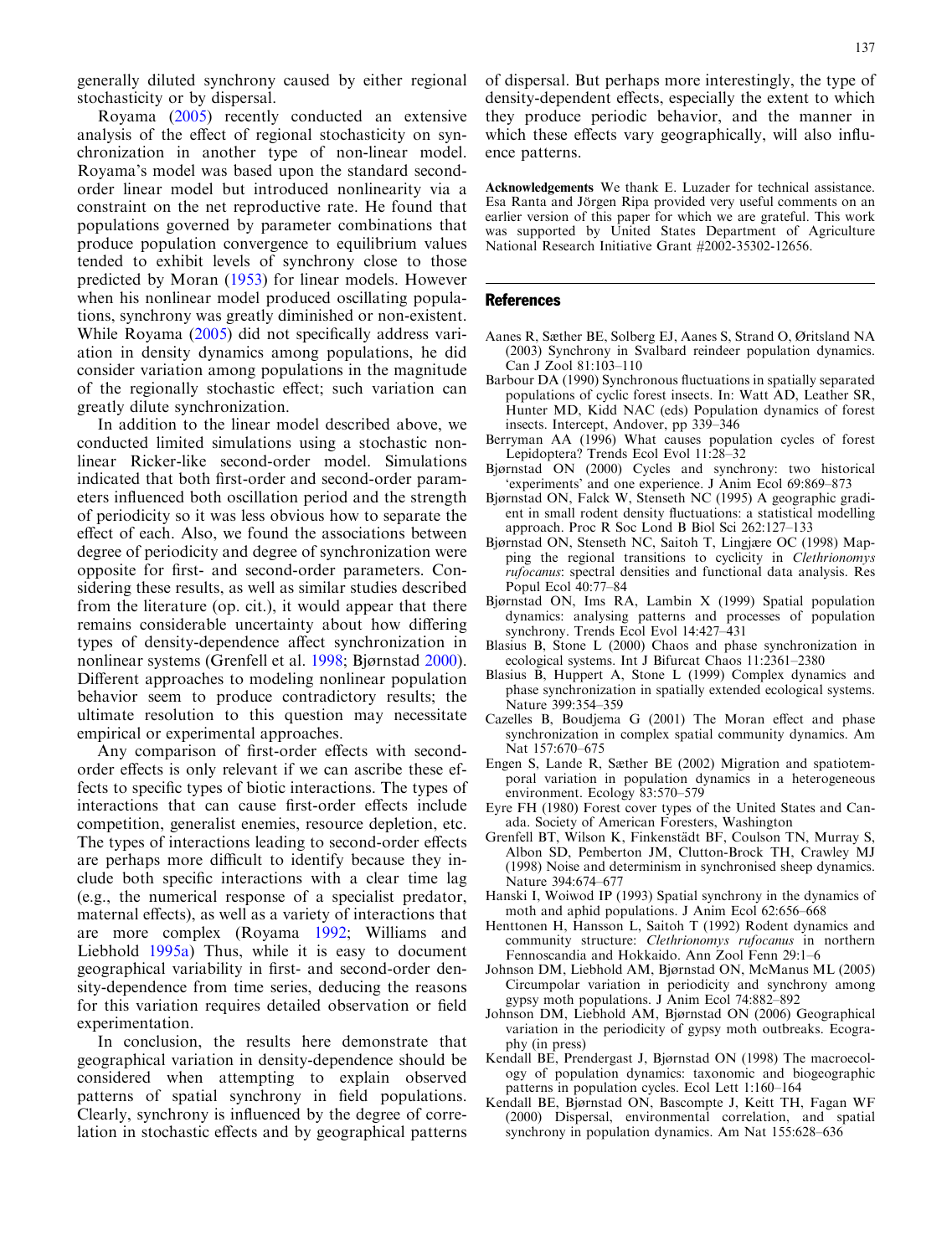<span id="page-6-0"></span>generally diluted synchrony caused by either regional stochasticity or by dispersal.

Royama ([2005](#page-7-0)) recently conducted an extensive analysis of the effect of regional stochasticity on synchronization in another type of non-linear model. Royama's model was based upon the standard secondorder linear model but introduced nonlinearity via a constraint on the net reproductive rate. He found that populations governed by parameter combinations that produce population convergence to equilibrium values tended to exhibit levels of synchrony close to those predicted by Moran ([1953\)](#page-7-0) for linear models. However when his nonlinear model produced oscillating populations, synchrony was greatly diminished or non-existent. While Royama ([2005\)](#page-7-0) did not specifically address variation in density dynamics among populations, he did consider variation among populations in the magnitude of the regionally stochastic effect; such variation can greatly dilute synchronization.

In addition to the linear model described above, we conducted limited simulations using a stochastic nonlinear Ricker-like second-order model. Simulations indicated that both first-order and second-order parameters influenced both oscillation period and the strength of periodicity so it was less obvious how to separate the effect of each. Also, we found the associations between degree of periodicity and degree of synchronization were opposite for first- and second-order parameters. Considering these results, as well as similar studies described from the literature (op. cit.), it would appear that there remains considerable uncertainty about how differing types of density-dependence affect synchronization in nonlinear systems (Grenfell et al. 1998; Bjørnstad 2000). Different approaches to modeling nonlinear population behavior seem to produce contradictory results; the ultimate resolution to this question may necessitate empirical or experimental approaches.

Any comparison of first-order effects with secondorder effects is only relevant if we can ascribe these effects to specific types of biotic interactions. The types of interactions that can cause first-order effects include competition, generalist enemies, resource depletion, etc. The types of interactions leading to second-order effects are perhaps more difficult to identify because they include both specific interactions with a clear time lag (e.g., the numerical response of a specialist predator, maternal effects), as well as a variety of interactions that are more complex (Royama [1992;](#page-7-0) Williams and Liebhold [1995a](#page-7-0)) Thus, while it is easy to document geographical variability in first- and second-order density-dependence from time series, deducing the reasons for this variation requires detailed observation or field experimentation.

In conclusion, the results here demonstrate that geographical variation in density-dependence should be considered when attempting to explain observed patterns of spatial synchrony in field populations. Clearly, synchrony is influenced by the degree of correlation in stochastic effects and by geographical patterns of dispersal. But perhaps more interestingly, the type of density-dependent effects, especially the extent to which they produce periodic behavior, and the manner in which these effects vary geographically, will also influence patterns.

Acknowledgements We thank E. Luzader for technical assistance. Esa Ranta and Jörgen Ripa provided very useful comments on an earlier version of this paper for which we are grateful. This work was supported by United States Department of Agriculture National Research Initiative Grant #2002-35302-12656.

#### References

- Aanes R, Sæther BE, Solberg EJ, Aanes S, Strand O, Øritsland NA (2003) Synchrony in Svalbard reindeer population dynamics. Can J Zool 81:103–110
- Barbour DA (1990) Synchronous fluctuations in spatially separated populations of cyclic forest insects. In: Watt AD, Leather SR, Hunter MD, Kidd NAC (eds) Population dynamics of forest insects. Intercept, Andover, pp 339–346
- Berryman AA (1996) What causes population cycles of forest Lepidoptera? Trends Ecol Evol 11:28–32
- Bjørnstad ON (2000) Cycles and synchrony: two historical 'experiments' and one experience. J Anim Ecol 69:869–873
- Bjørnstad ON, Falck W, Stenseth NC (1995) A geographic gradient in small rodent density fluctuations: a statistical modelling approach. Proc R Soc Lond B Biol Sci 262:127–133
- Bjørnstad ON, Stenseth NC, Saitoh T, Lingjære OC (1998) Mapping the regional transitions to cyclicity in Clethrionomys rufocanus: spectral densities and functional data analysis. Res Popul Ecol 40:77–84
- Bjørnstad ON, Ims RA, Lambin X (1999) Spatial population dynamics: analysing patterns and processes of population synchrony. Trends Ecol Evol 14:427–431
- Blasius B, Stone L (2000) Chaos and phase synchronization in ecological systems. Int J Bifurcat Chaos 11:2361–2380
- Blasius B, Huppert A, Stone L (1999) Complex dynamics and phase synchronization in spatially extended ecological systems. Nature 399:354–359
- Cazelles B, Boudjema G (2001) The Moran effect and phase synchronization in complex spatial community dynamics. Am Nat 157:670–675
- Engen S, Lande R, Sæther BE (2002) Migration and spatiotemporal variation in population dynamics in a heterogeneous environment. Ecology 83:570–579
- Eyre FH (1980) Forest cover types of the United States and Canada. Society of American Foresters, Washington
- Grenfell BT, Wilson K, Finkenstädt BF, Coulson TN, Murray S, Albon SD, Pemberton JM, Clutton-Brock TH, Crawley MJ (1998) Noise and determinism in synchronised sheep dynamics. Nature 394:674–677
- Hanski I, Woiwod IP (1993) Spatial synchrony in the dynamics of moth and aphid populations. J Anim Ecol 62:656–668
- Henttonen H, Hansson L, Saitoh T (1992) Rodent dynamics and community structure: Clethrionomys rufocanus in northern Fennoscandia and Hokkaido. Ann Zool Fenn 29:1–6
- Johnson DM, Liebhold AM, Bjørnstad ON, McManus ML (2005) Circumpolar variation in periodicity and synchrony among gypsy moth populations. J Anim Ecol 74:882–892
- Johnson DM, Liebhold AM, Bjørnstad ON (2006) Geographical variation in the periodicity of gypsy moth outbreaks. Ecography (in press)
- Kendall BE, Prendergast J, Bjørnstad ON (1998) The macroecology of population dynamics: taxonomic and biogeographic patterns in population cycles. Ecol Lett 1:160–164
- Kendall BE, Bjørnstad ON, Bascompte J, Keitt TH, Fagan WF (2000) Dispersal, environmental correlation, and spatial synchrony in population dynamics. Am Nat 155:628–636